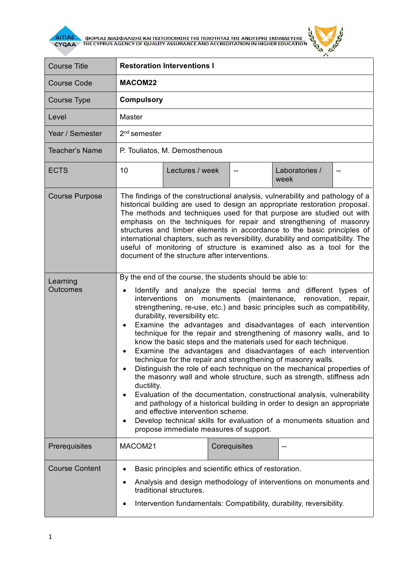

AI<mark>NAE A OOPEAS AIAS QUANSHE KAI NISTONOIHEHE THE NOIOTHTAE THE ANOTEPHE EKNAIAEYEHE A CYQAA A THE CYPRUS AGENCY OF QUALITY ASSURANCE AND ACCREDITATION IN HIGHER EDUCATION</mark>



| <b>Course Title</b>         | <b>Restoration Interventions I</b>                                                                                                                                                                                                                                                                                                                                                                                                                                                                                                                                                                                                                                                                                                                                                                                                                                                                                                                                                                                                                                                                                                                |                 |  |              |                        |  |
|-----------------------------|---------------------------------------------------------------------------------------------------------------------------------------------------------------------------------------------------------------------------------------------------------------------------------------------------------------------------------------------------------------------------------------------------------------------------------------------------------------------------------------------------------------------------------------------------------------------------------------------------------------------------------------------------------------------------------------------------------------------------------------------------------------------------------------------------------------------------------------------------------------------------------------------------------------------------------------------------------------------------------------------------------------------------------------------------------------------------------------------------------------------------------------------------|-----------------|--|--------------|------------------------|--|
| <b>Course Code</b>          | <b>MACOM22</b>                                                                                                                                                                                                                                                                                                                                                                                                                                                                                                                                                                                                                                                                                                                                                                                                                                                                                                                                                                                                                                                                                                                                    |                 |  |              |                        |  |
| Course Type                 | <b>Compulsory</b>                                                                                                                                                                                                                                                                                                                                                                                                                                                                                                                                                                                                                                                                                                                                                                                                                                                                                                                                                                                                                                                                                                                                 |                 |  |              |                        |  |
| Level                       | <b>Master</b>                                                                                                                                                                                                                                                                                                                                                                                                                                                                                                                                                                                                                                                                                                                                                                                                                                                                                                                                                                                                                                                                                                                                     |                 |  |              |                        |  |
| Year / Semester             | $2nd$ semester                                                                                                                                                                                                                                                                                                                                                                                                                                                                                                                                                                                                                                                                                                                                                                                                                                                                                                                                                                                                                                                                                                                                    |                 |  |              |                        |  |
| <b>Teacher's Name</b>       | P. Touliatos, M. Demosthenous                                                                                                                                                                                                                                                                                                                                                                                                                                                                                                                                                                                                                                                                                                                                                                                                                                                                                                                                                                                                                                                                                                                     |                 |  |              |                        |  |
| <b>ECTS</b>                 | 10                                                                                                                                                                                                                                                                                                                                                                                                                                                                                                                                                                                                                                                                                                                                                                                                                                                                                                                                                                                                                                                                                                                                                | Lectures / week |  |              | Laboratories /<br>week |  |
| <b>Course Purpose</b>       | The findings of the constructional analysis, vulnerability and pathology of a<br>historical building are used to design an appropriate restoration proposal.<br>The methods and techniques used for that purpose are studied out with<br>emphasis on the techniques for repair and strengthening of masonry<br>structures and timber elements in accordance to the basic principles of<br>international chapters, such as reversibility, durability and compatibility. The<br>useful of monitoring of structure is examined also as a tool for the<br>document of the structure after interventions.                                                                                                                                                                                                                                                                                                                                                                                                                                                                                                                                              |                 |  |              |                        |  |
| Learning<br><b>Outcomes</b> | By the end of the course, the students should be able to:<br>Identify and analyze the special terms and different types of<br>interventions on monuments (maintenance, renovation, repair,<br>strengthening, re-use, etc.) and basic principles such as compatibility,<br>durability, reversibility etc.<br>Examine the advantages and disadvantages of each intervention<br>$\bullet$<br>technique for the repair and strengthening of masonry walls, and to<br>know the basic steps and the materials used for each technique.<br>Examine the advantages and disadvantages of each intervention<br>technique for the repair and strengthening of masonry walls.<br>Distinguish the role of each technique on the mechanical properties of<br>the masonry wall and whole structure, such as strength, stiffness adn<br>ductility.<br>Evaluation of the documentation, constructional analysis, vulnerability<br>and pathology of a historical building in order to design an appropriate<br>and effective intervention scheme.<br>Develop technical skills for evaluation of a monuments situation and<br>propose immediate measures of support. |                 |  |              |                        |  |
| Prerequisites               | MACOM21                                                                                                                                                                                                                                                                                                                                                                                                                                                                                                                                                                                                                                                                                                                                                                                                                                                                                                                                                                                                                                                                                                                                           |                 |  | Corequisites |                        |  |
| <b>Course Content</b>       | Basic principles and scientific ethics of restoration.<br>Analysis and design methodology of interventions on monuments and<br>traditional structures.<br>Intervention fundamentals: Compatibility, durability, reversibility.                                                                                                                                                                                                                                                                                                                                                                                                                                                                                                                                                                                                                                                                                                                                                                                                                                                                                                                    |                 |  |              |                        |  |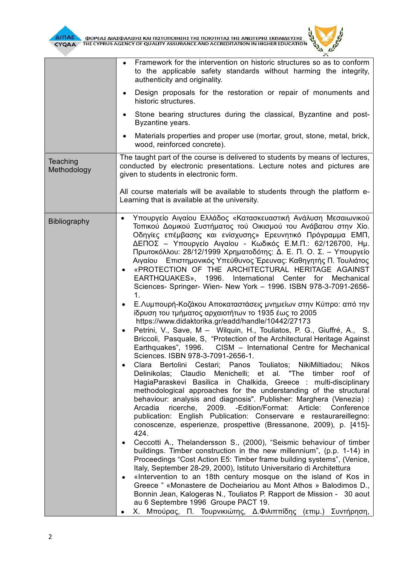

|                         | Framework for the intervention on historic structures so as to conform<br>to the applicable safety standards without harming the integrity,<br>authenticity and originality.<br>Design proposals for the restoration or repair of monuments and<br>historic structures.<br>Stone bearing structures during the classical, Byzantine and post-<br>Byzantine years.                                                                                                                                                                                                                                                                                                                                                                                                                                                                                                                                                                                                                                                                                                                                                                                                                                                                                                                                                                                                                                                                                                                                                                                                                                                                                                                                                                                                                                                                                                                                                                                                                                                                                                                                                                                                                                 |
|-------------------------|---------------------------------------------------------------------------------------------------------------------------------------------------------------------------------------------------------------------------------------------------------------------------------------------------------------------------------------------------------------------------------------------------------------------------------------------------------------------------------------------------------------------------------------------------------------------------------------------------------------------------------------------------------------------------------------------------------------------------------------------------------------------------------------------------------------------------------------------------------------------------------------------------------------------------------------------------------------------------------------------------------------------------------------------------------------------------------------------------------------------------------------------------------------------------------------------------------------------------------------------------------------------------------------------------------------------------------------------------------------------------------------------------------------------------------------------------------------------------------------------------------------------------------------------------------------------------------------------------------------------------------------------------------------------------------------------------------------------------------------------------------------------------------------------------------------------------------------------------------------------------------------------------------------------------------------------------------------------------------------------------------------------------------------------------------------------------------------------------------------------------------------------------------------------------------------------------|
|                         | Materials properties and proper use (mortar, grout, stone, metal, brick,<br>wood, reinforced concrete).                                                                                                                                                                                                                                                                                                                                                                                                                                                                                                                                                                                                                                                                                                                                                                                                                                                                                                                                                                                                                                                                                                                                                                                                                                                                                                                                                                                                                                                                                                                                                                                                                                                                                                                                                                                                                                                                                                                                                                                                                                                                                           |
| Teaching<br>Methodology | The taught part of the course is delivered to students by means of lectures,<br>conducted by electronic presentations. Lecture notes and pictures are<br>given to students in electronic form.                                                                                                                                                                                                                                                                                                                                                                                                                                                                                                                                                                                                                                                                                                                                                                                                                                                                                                                                                                                                                                                                                                                                                                                                                                                                                                                                                                                                                                                                                                                                                                                                                                                                                                                                                                                                                                                                                                                                                                                                    |
|                         | All course materials will be available to students through the platform e-<br>Learning that is available at the university.                                                                                                                                                                                                                                                                                                                                                                                                                                                                                                                                                                                                                                                                                                                                                                                                                                                                                                                                                                                                                                                                                                                                                                                                                                                                                                                                                                                                                                                                                                                                                                                                                                                                                                                                                                                                                                                                                                                                                                                                                                                                       |
| <b>Bibliography</b>     | Υπουργείο Αιγαίου Ελλάδος «Κατασκευαστική Ανάλυση Μεσαιωνικού<br>$\bullet$<br>Τοπικού Δομικού Συστήματος τού Οικισμού του Ανάβατου στην Χίο.<br>Οδηγίες επέμβασης και ενίσχυσης» Ερευνητικό Πρόγραμμα ΕΜΠ,<br>ΔΕΠΟΣ – Υπουργείο Αιγαίου - Κωδικός Ε.Μ.Π.: 62/126700, Ημ.<br>Πρωτοκόλλου: 28/12/1999 Χρηματοδότης: Δ. Ε. Π. Ο. Σ. - Υπουργείο<br>Αιγαίου Επιστημονικός Υπεύθυνος Έρευνας: Καθηγητής Π. Τουλιάτος<br>«PROTECTION OF THE ARCHITECTURAL HERITAGE AGAINST<br>$\bullet$<br>EARTHQUAKES», 1996. International Center for Mechanical<br>Sciences- Springer- Wien- New York - 1996. ISBN 978-3-7091-2656-<br>Ε. Λυμπουρή-Κοζάκου Αποκαταστάσεις μνημείων στην Κύπρο: από την<br>$\bullet$<br>ίδρυση του τμήματος αρχαιοτήτων το 1935 έως το 2005<br>https://www.didaktorika.gr/eadd/handle/10442/27173<br>Petrini, V., Save, M - Wilquin, H., Touliatos, P. G., Giuffré, A., S.<br>$\bullet$<br>Briccoli, Pasquale, S, "Protection of the Architectural Heritage Against<br>Earthquakes", 1996. CISM - International Centre for Mechanical<br>Sciences. ISBN 978-3-7091-2656-1.<br>Bertolini Cestari; Panos Touliatos; NikiMiltiadou; Nikos<br>Clara<br>Delinikolas; Claudio Menichelli; et al. "The timber roof of<br>HagiaParaskevi Basilica in Chalkida, Greece : multi-disciplinary<br>methodological approaches for the understanding of the structural<br>behaviour: analysis and diagnosis". Publisher: Marghera (Venezia) :<br>ricerche, 2009. - Edition/Format: Article:<br>Arcadia<br>Conference<br>publication: English Publication: Conservare e restaurareillegno:<br>conoscenze, esperienze, prospettive (Bressanone, 2009), p. [415]-<br>424.<br>Ceccotti A., Thelandersson S., (2000), "Seismic behaviour of timber<br>buildings. Timber construction in the new millennium", (p.p. 1-14) in<br>Proceedings "Cost Action E5: Timber frame building systems", (Venice,<br>Italy, September 28-29, 2000), Istituto Universitario di Architettura<br>«Intervention to an 18th century mosque on the island of Kos in<br>$\bullet$<br>Greece " «Monastere de Docheiariou au Mont Athos » Balodimos D.,<br>Bonnin Jean, Kalogeras N., Touliatos P. Rapport de Mission - 30 aout |
|                         | au 6 Septembre 1996 Groupe PACT 19.<br>Χ. Μπούρας, Π. Τουρνικιώτης, Δ.Φιλιππίδης (επιμ.) Συντήρηση,                                                                                                                                                                                                                                                                                                                                                                                                                                                                                                                                                                                                                                                                                                                                                                                                                                                                                                                                                                                                                                                                                                                                                                                                                                                                                                                                                                                                                                                                                                                                                                                                                                                                                                                                                                                                                                                                                                                                                                                                                                                                                               |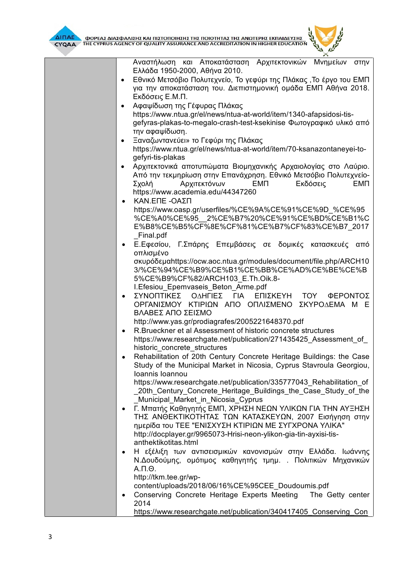

| Αναστήλωση και Αποκατάσταση Αρχιτεκτονικών Μνημείων στην                                                                               |
|----------------------------------------------------------------------------------------------------------------------------------------|
| Ελλάδα 1950-2000, Αθήνα 2010.<br>Εθνικό Μετσόβιο Πολυτεχνείο, Το γεφύρι της Πλάκας, Το έργο του ΕΜΠ<br>$\bullet$                       |
| για την αποκατάσταση του. Διεπιστημονική ομάδα ΕΜΠ Αθήνα 2018.                                                                         |
| Εκδόσεις Ε.Μ.Π.                                                                                                                        |
| Αφαψίδωση της Γέφυρας Πλάκας                                                                                                           |
| https://www.ntua.gr/el/news/ntua-at-world/item/1340-afapsidosi-tis-                                                                    |
| gefyras-plakas-to-megalo-crash-test-ksekinise Φωτογραφικό υλικό από                                                                    |
| την αφαψίδωση.                                                                                                                         |
| Ξαναζωντανεύει» το Γεφύρι της Πλάκας<br>https://www.ntua.gr/el/news/ntua-at-world/item/70-ksanazontaneyei-to-                          |
| gefyri-tis-plakas                                                                                                                      |
| Αρχιτεκτονικά αποτυπώματα Βιομηχανικής Αρχαιολογίας στο Λαύριο.                                                                        |
| Από την τεκμηρίωση στην Επανάχρηση. Εθνικό Μετσόβιο Πολυτεχνείο-                                                                       |
| Αρχιτεκτόνων<br><b>EMN</b><br>Εκδόσεις<br>Σχολή<br>ЕМП                                                                                 |
| https://www.academia.edu/44347260                                                                                                      |
| ΚΑΝ.ΕΠΕ -ΟΑΣΠ                                                                                                                          |
| https://www.oasp.gr/userfiles/%CE%9A%CE%91%CE%9D %CE%95<br>%CE%A0%CE%95 2%CE%B7%20%CE%91%CE%BD%CE%B1%C                                 |
| E%B8%CE%B5%CF%8E%CF%81%CE%B7%CF%83%CE%B7 2017                                                                                          |
| Final.pdf                                                                                                                              |
| Ε.Εφεσίου, Γ.Σπάρης Επεμβάσεις σε δομικές κατασκευές από                                                                               |
| οπλισμένο                                                                                                                              |
| σκυρόδεμαhttps://ocw.aoc.ntua.gr/modules/document/file.php/ARCH10                                                                      |
| 3/%CE%94%CE%B9%CE%B1%CE%BB%CE%AD%CE%BE%CE%B<br>5%CE%B9%CF%82/ARCH103 E.Th.Oik.8-                                                       |
| I. Efesiou Epemvaseis Beton Arme.pdf                                                                                                   |
| ΣΥΝΟΠΤΙΚΕΣ ΟΔΗΓΙΕΣ ΓΙΑ<br>ΕΠΙΣΚΕΥΗ ΤΟΥ ΦΕΡΟΝΤΟΣ<br>$\bullet$                                                                           |
| ΟΡΓΑΝΙΣΜΟΥ ΚΤΙΡΙΩΝ ΑΠΟ ΟΠΛΙΣΜΕΝΟ ΣΚΥΡΟΔΕΜΑ Μ Ε                                                                                         |
| ΒΛΑΒΕΣ ΑΠΟ ΣΕΙΣΜΟ                                                                                                                      |
| http://www.yas.gr/prodiagrafes/2005221648370.pdf<br>R. Brueckner et al Assessment of historic concrete structures                      |
| $\bullet$<br>https://www.researchgate.net/publication/271435425 Assessment of                                                          |
| historic concrete structures                                                                                                           |
| Rehabilitation of 20th Century Concrete Heritage Buildings: the Case                                                                   |
| Study of the Municipal Market in Nicosia, Cyprus Stavroula Georgiou,                                                                   |
| Ioannis Ioannou                                                                                                                        |
| https://www.researchgate.net/publication/335777043 Rehabilitation of<br>20th Century Concrete Heritage Buildings the Case Study of the |
| Municipal Market in Nicosia Cyprus                                                                                                     |
| Γ. Μπατής Καθηγητής ΕΜΠ, ΧΡΗΣΗ ΝΕΩΝ ΥΛΙΚΩΝ ΓΙΑ ΤΗΝ ΑΥΞΗΣΗ<br>٠                                                                         |
| ΤΗΣ ΑΝΘΕΚΤΙΚΟΤΗΤΑΣ ΤΩΝ ΚΑΤΑΣΚΕΥΩΝ, 2007 Εισήγηση στην                                                                                  |
| ημερίδα του ΤΕΕ "ΕΝΙΣΧΥΣΗ ΚΤΙΡΙΩΝ ΜΕ ΣΥΓΧΡΟΝΑ ΥΛΙΚΑ"                                                                                   |
| http://docplayer.gr/9965073-Hrisi-neon-ylikon-gia-tin-ayxisi-tis-                                                                      |
| anthektikotitas.html<br>Η εξέλιξη των αντισεισμικών κανονισμών στην Ελλάδα. Ιωάννης<br>٠                                               |
| Ν.Δουδούμης, ομότιμος καθηγητής τμημ. . Πολιτικών Μηχανικών                                                                            |
| $A.\Pi.\Theta.$                                                                                                                        |
| http://tkm.tee.gr/wp-                                                                                                                  |
| content/uploads/2018/06/16%CE%95CEE Doudoumis.pdf                                                                                      |
| Conserving Concrete Heritage Experts Meeting The Getty center<br>2014                                                                  |
| https://www.researchgate.net/publication/340417405 Conserving Con                                                                      |